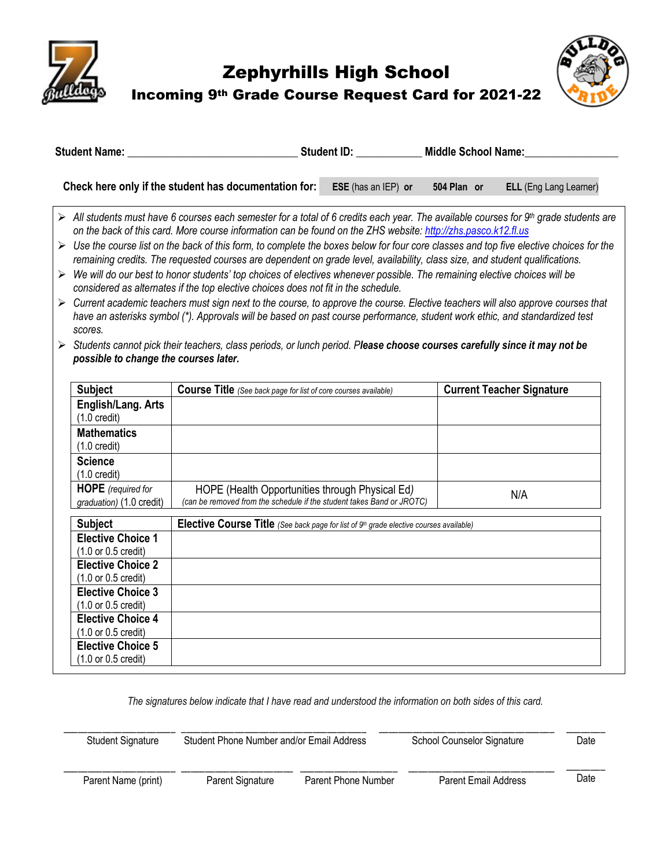

# Zephyrhills High School Incoming 9th Grade Course Request Card for 2021-22



| <b>Student Name:</b> |                                                                                                                                                                                                                                                      | <b>Student ID:</b> |                     | <b>Middle School Name:</b> |  |                               |
|----------------------|------------------------------------------------------------------------------------------------------------------------------------------------------------------------------------------------------------------------------------------------------|--------------------|---------------------|----------------------------|--|-------------------------------|
|                      | Check here only if the student has documentation for:                                                                                                                                                                                                |                    | ESE (has an IEP) or | 504 Plan or                |  | <b>ELL</b> (Eng Lang Learner) |
|                      | All students must have 6 courses each semester for a total of 6 credits each year. The available courses for 9th grade students are<br>on the back of this card. More course information can be found on the ZHS website: http://zhs.pasco.k12.fl.us |                    |                     |                            |  |                               |

- Ø *Use the course list on the back of this form, to complete the boxes below for four core classes and top five elective choices for the remaining credits. The requested courses are dependent on grade level, availability, class size, and student qualifications.*
- Ø *We will do our best to honor students' top choices of electives whenever possible. The remaining elective choices will be considered as alternates if the top elective choices does not fit in the schedule.*
- Ø *Current academic teachers must sign next to the course, to approve the course. Elective teachers will also approve courses that have an asterisks symbol (\*). Approvals will be based on past course performance, student work ethic, and standardized test scores.*
- Ø *Students cannot pick their teachers, class periods, or lunch period. Please choose courses carefully since it may not be possible to change the courses later.*

| <b>Subject</b>                                                                                                    | <b>Course Title</b> (See back page for list of core courses available)                                                   | <b>Current Teacher Signature</b> |  |
|-------------------------------------------------------------------------------------------------------------------|--------------------------------------------------------------------------------------------------------------------------|----------------------------------|--|
| English/Lang. Arts<br>$(1.0 \text{ credit})$                                                                      |                                                                                                                          |                                  |  |
| <b>Mathematics</b><br>$(1.0 \text{ credit})$                                                                      |                                                                                                                          |                                  |  |
| <b>Science</b><br>$(1.0 \text{ credit})$                                                                          |                                                                                                                          |                                  |  |
| <b>HOPE</b> (required for<br>graduation) (1.0 credit)                                                             | HOPE (Health Opportunities through Physical Ed)<br>(can be removed from the schedule if the student takes Band or JROTC) | N/A                              |  |
| <b>Subject</b><br><b>Elective Course Title</b> (See back page for list of $9th$ grade elective courses available) |                                                                                                                          |                                  |  |
| <b>Elective Choice 1</b>                                                                                          |                                                                                                                          |                                  |  |
| (1.0 or 0.5 credit)                                                                                               |                                                                                                                          |                                  |  |
| <b>Elective Choice 2</b>                                                                                          |                                                                                                                          |                                  |  |
| (1.0 or 0.5 credit)                                                                                               |                                                                                                                          |                                  |  |
| <b>Elective Choice 3</b>                                                                                          |                                                                                                                          |                                  |  |
| (1.0 or 0.5 credit)                                                                                               |                                                                                                                          |                                  |  |
| <b>Elective Choice 4</b>                                                                                          |                                                                                                                          |                                  |  |
| (1.0 or 0.5 credit)                                                                                               |                                                                                                                          |                                  |  |
| <b>Elective Choice 5</b>                                                                                          |                                                                                                                          |                                  |  |
| (1.0 or 0.5 credit)                                                                                               |                                                                                                                          |                                  |  |

*The signatures below indicate that I have read and understood the information on both sides of this card.*

| <b>Student Signature</b> | Student Phone Number and/or Email Address |                     | School Counselor Signature | Date |
|--------------------------|-------------------------------------------|---------------------|----------------------------|------|
| Parent Name (print)      | Parent Signature                          | Parent Phone Number | Parent Email Address       | Date |